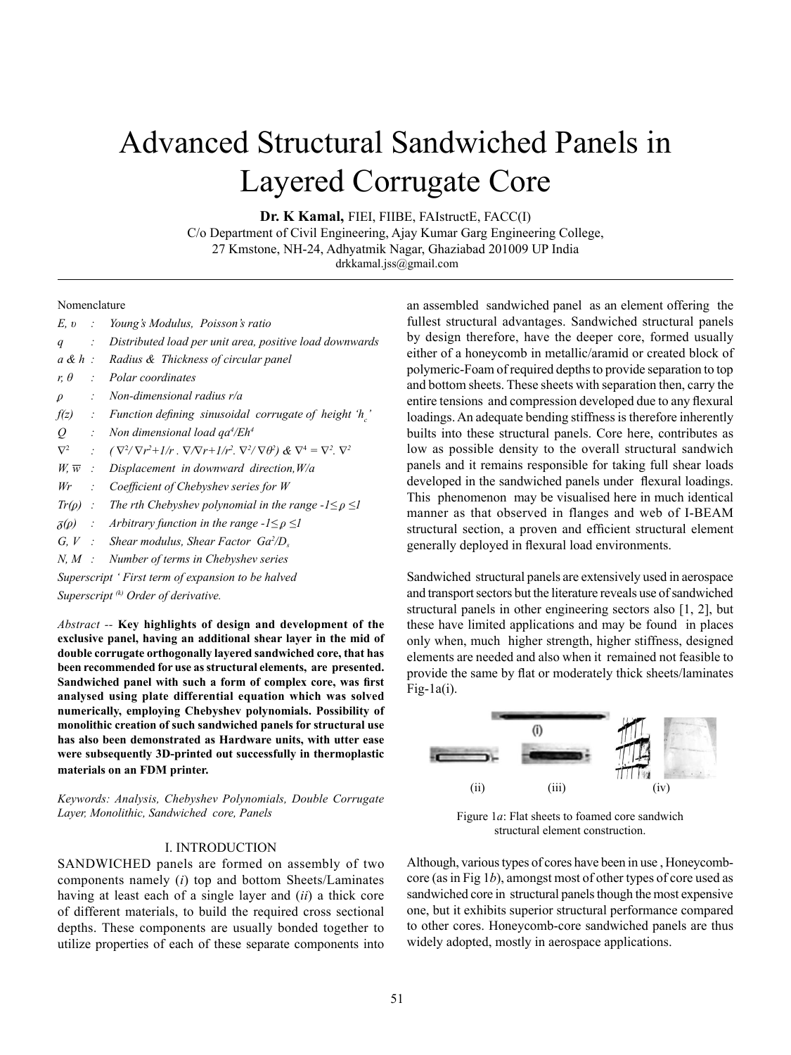# Advanced Structural Sandwiched Panels in Layered Corrugate Core

**Dr. K Kamal,** FIEI, FIIBE, FAIstructE, FACC(I)

C/o Department of Civil Engineering, Ajay Kumar Garg Engineering College, 27 Kmstone, NH-24, Adhyatmik Nagar, Ghaziabad 201009 UP India drkkamal.jss@gmail.com

#### Nomenclature

| E, v                       |                     | : Young's Modulus, Poisson's ratio                                                                                         |
|----------------------------|---------------------|----------------------------------------------------------------------------------------------------------------------------|
| q                          | ÷.                  | Distributed load per unit area, positive load downwards                                                                    |
| $a \& h$ :                 |                     | Radius & Thickness of circular panel                                                                                       |
| $r, \theta$                |                     | : Polar coordinates                                                                                                        |
| $\rho$                     | ÷.                  | Non-dimensional radius $r/a$                                                                                               |
| $f(z)$ :                   |                     | Function defining sinusoidal corrugate of height 'h'                                                                       |
| $Q$ :                      |                     | Non dimensional load $qa^4/Eh^4$                                                                                           |
| $\nabla^2$                 | $\mathcal{L}^{\pm}$ | $(\nabla^2/\nabla r^2+1/r \cdot \nabla/\nabla r+1/r^2 \cdot \nabla^2/\nabla \theta^2) \& \nabla^4=\nabla^2 \cdot \nabla^2$ |
| $W_{\cdot} \overline{W}$ : |                     | Displacement in downward direction, $W/a$                                                                                  |
| $Wr$ :                     |                     | Coefficient of Chebyshev series for W                                                                                      |
|                            |                     | $Tr(\rho)$ : The rth Chebyshev polynomial in the range $-1 \leq \rho \leq 1$                                               |
| $\delta(\rho)$             |                     | : Arbitrary function in the range $-1 \leq \rho \leq 1$                                                                    |
|                            |                     | $G, V$ : Shear modulus, Shear Factor $Ga^2/D$ .                                                                            |
| $N, M$ :                   |                     | Number of terms in Chebyshev series                                                                                        |
|                            |                     |                                                                                                                            |

*Superscript ' First term of expansion to be halved Superscript (k) Order of derivative.*

*Abstract --* **Key highlights of design and development of the exclusive panel, having an additional shear layer in the mid of double corrugate orthogonally layered sandwiched core, that has been recommended for use as structural elements, are presented. Sandwiched panel with such a form of complex core, was first analysed using plate differential equation which was solved numerically, employing Chebyshev polynomials. Possibility of monolithic creation of such sandwiched panels for structural use has also been demonstrated as Hardware units, with utter ease were subsequently 3D-printed out successfully in thermoplastic materials on an FDM printer.** 

*Keywords: Analysis, Chebyshev Polynomials, Double Corrugate Layer, Monolithic, Sandwiched core, Panels*

#### I. INTRODUCTION

SANDWICHED panels are formed on assembly of two components namely (*i*) top and bottom Sheets/Laminates having at least each of a single layer and (*ii*) a thick core of different materials, to build the required cross sectional depths. These components are usually bonded together to utilize properties of each of these separate components into an assembled sandwiched panel as an element offering the fullest structural advantages. Sandwiched structural panels by design therefore, have the deeper core, formed usually either of a honeycomb in metallic/aramid or created block of polymeric-Foam of required depths to provide separation to top and bottom sheets. These sheets with separation then, carry the entire tensions and compression developed due to any flexural loadings. An adequate bending stiffness is therefore inherently builts into these structural panels. Core here, contributes as low as possible density to the overall structural sandwich panels and it remains responsible for taking full shear loads developed in the sandwiched panels under flexural loadings. This phenomenon may be visualised here in much identical manner as that observed in flanges and web of I-BEAM structural section, a proven and efficient structural element generally deployed in flexural load environments.

Sandwiched structural panels are extensively used in aerospace and transport sectors but the literature reveals use of sandwiched structural panels in other engineering sectors also [1, 2], but these have limited applications and may be found in places only when, much higher strength, higher stiffness, designed elements are needed and also when it remained not feasible to provide the same by flat or moderately thick sheets/laminates  $Fig-1a(i)$ .



Figure 1*a*: Flat sheets to foamed core sandwich structural element construction.

Although, various types of cores have been in use , Honeycombcore (as in Fig 1*b*), amongst most of other types of core used as sandwiched core in structural panels though the most expensive one, but it exhibits superior structural performance compared to other cores. Honeycomb-core sandwiched panels are thus widely adopted, mostly in aerospace applications.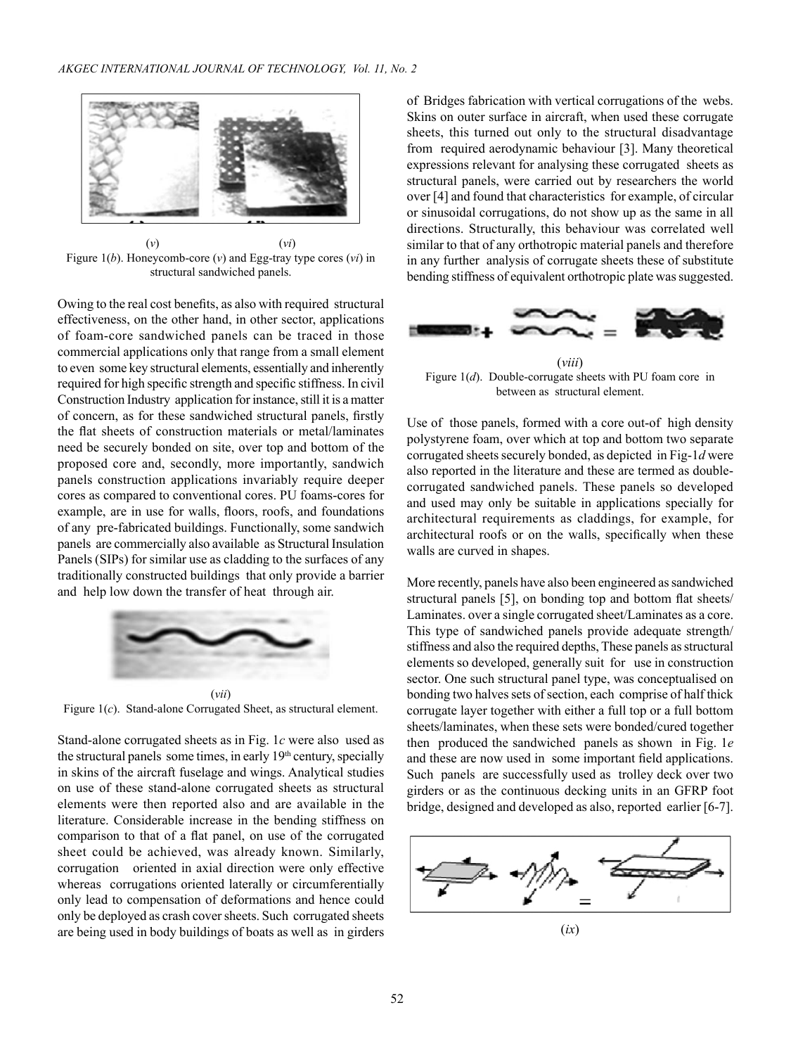

(*v*) (*vi*) Figure 1(*b*). Honeycomb-core (*v*) and Egg-tray type cores (*vi*) in structural sandwiched panels.

Owing to the real cost benefits, as also with required structural effectiveness, on the other hand, in other sector, applications of foam-core sandwiched panels can be traced in those commercial applications only that range from a small element to even some key structural elements, essentially and inherently required for high specific strength and specific stiffness. In civil Construction Industry application for instance, still it is a matter of concern, as for these sandwiched structural panels, firstly the flat sheets of construction materials or metal/laminates need be securely bonded on site, over top and bottom of the proposed core and, secondly, more importantly, sandwich panels construction applications invariably require deeper cores as compared to conventional cores. PU foams-cores for example, are in use for walls, floors, roofs, and foundations of any pre-fabricated buildings. Functionally, some sandwich panels are commercially also available as Structural Insulation Panels (SIPs) for similar use as cladding to the surfaces of any traditionally constructed buildings that only provide a barrier and help low down the transfer of heat through air.



Figure 1(*c*). Stand-alone Corrugated Sheet, as structural element.

Stand-alone corrugated sheets as in Fig. 1*c* were also used as the structural panels some times, in early  $19<sup>th</sup>$  century, specially in skins of the aircraft fuselage and wings. Analytical studies on use of these stand-alone corrugated sheets as structural elements were then reported also and are available in the literature. Considerable increase in the bending stiffness on comparison to that of a flat panel, on use of the corrugated sheet could be achieved, was already known. Similarly, corrugation oriented in axial direction were only effective whereas corrugations oriented laterally or circumferentially only lead to compensation of deformations and hence could only be deployed as crash cover sheets. Such corrugated sheets are being used in body buildings of boats as well as in girders

of Bridges fabrication with vertical corrugations of the webs. Skins on outer surface in aircraft, when used these corrugate sheets, this turned out only to the structural disadvantage from required aerodynamic behaviour [3]. Many theoretical expressions relevant for analysing these corrugated sheets as structural panels, were carried out by researchers the world over [4] and found that characteristics for example, of circular or sinusoidal corrugations, do not show up as the same in all directions. Structurally, this behaviour was correlated well similar to that of any orthotropic material panels and therefore in any further analysis of corrugate sheets these of substitute bending stiffness of equivalent orthotropic plate was suggested.



(*viii*) Figure 1(*d*). Double-corrugate sheets with PU foam core in between as structural element.

Use of those panels, formed with a core out-of high density polystyrene foam, over which at top and bottom two separate corrugated sheets securely bonded, as depicted in Fig-1*d* were also reported in the literature and these are termed as doublecorrugated sandwiched panels. These panels so developed and used may only be suitable in applications specially for architectural requirements as claddings, for example, for architectural roofs or on the walls, specifically when these walls are curved in shapes.

More recently, panels have also been engineered as sandwiched structural panels [5], on bonding top and bottom flat sheets/ Laminates. over a single corrugated sheet/Laminates as a core. This type of sandwiched panels provide adequate strength/ stiffness and also the required depths, These panels as structural elements so developed, generally suit for use in construction sector. One such structural panel type, was conceptualised on bonding two halves sets of section, each comprise of half thick corrugate layer together with either a full top or a full bottom sheets/laminates, when these sets were bonded/cured together then produced the sandwiched panels as shown in Fig. 1*e* and these are now used in some important field applications. Such panels are successfully used as trolley deck over two girders or as the continuous decking units in an GFRP foot bridge, designed and developed as also, reported earlier [6-7].

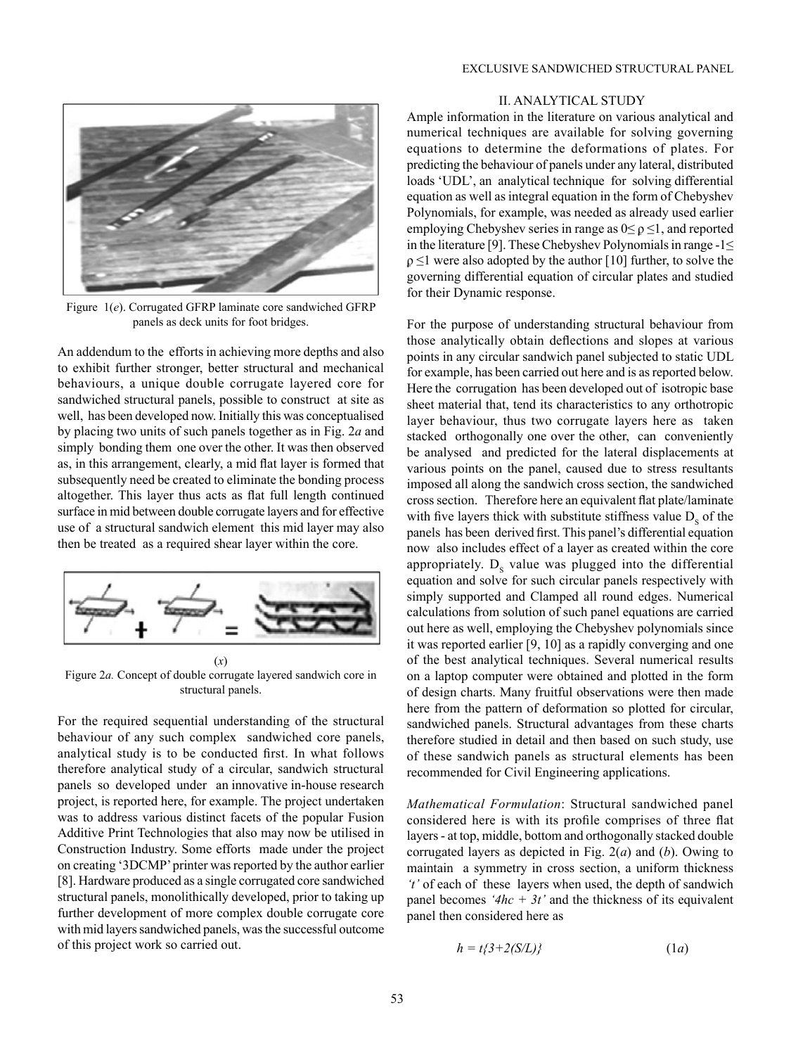

Figure 1(*e*). Corrugated GFRP laminate core sandwiched GFRP panels as deck units for foot bridges.

An addendum to the efforts in achieving more depths and also to exhibit further stronger, better structural and mechanical behaviours, a unique double corrugate layered core for sandwiched structural panels, possible to construct at site as well, has been developed now. Initially this was conceptualised by placing two units of such panels together as in Fig. 2*a* and simply bonding them one over the other. It was then observed as, in this arrangement, clearly, a mid flat layer is formed that subsequently need be created to eliminate the bonding process altogether. This layer thus acts as flat full length continued surface in mid between double corrugate layers and for effective use of a structural sandwich element this mid layer may also then be treated as a required shear layer within the core.



Figure 2*a.* Concept of double corrugate layered sandwich core in structural panels.

For the required sequential understanding of the structural behaviour of any such complex sandwiched core panels, analytical study is to be conducted first. In what follows therefore analytical study of a circular, sandwich structural panels so developed under an innovative in-house research project, is reported here, for example. The project undertaken was to address various distinct facets of the popular Fusion Additive Print Technologies that also may now be utilised in Construction Industry. Some efforts made under the project on creating '3DCMP' printer was reported by the author earlier [8]. Hardware produced as a single corrugated core sandwiched structural panels, monolithically developed, prior to taking up further development of more complex double corrugate core with mid layers sandwiched panels, was the successful outcome of this project work so carried out.

# II. ANALYTICAL STUDY

Ample information in the literature on various analytical and numerical techniques are available for solving governing equations to determine the deformations of plates. For predicting the behaviour of panels under any lateral, distributed loads 'UDL', an analytical technique for solving differential equation as well as integral equation in the form of Chebyshev Polynomials, for example, was needed as already used earlier employing Chebyshev series in range as  $0 \le \rho \le 1$ , and reported in the literature [9]. These Chebyshev Polynomials in range -1≤  $\rho \leq 1$  were also adopted by the author [10] further, to solve the governing differential equation of circular plates and studied for their Dynamic response.

For the purpose of understanding structural behaviour from those analytically obtain deflections and slopes at various points in any circular sandwich panel subjected to static UDL for example, has been carried out here and is as reported below. Here the corrugation has been developed out of isotropic base sheet material that, tend its characteristics to any orthotropic layer behaviour, thus two corrugate layers here as taken stacked orthogonally one over the other, can conveniently be analysed and predicted for the lateral displacements at various points on the panel, caused due to stress resultants imposed all along the sandwich cross section, the sandwiched cross section. Therefore here an equivalent flat plate/laminate with five layers thick with substitute stiffness value  $D_s$  of the panels has been derived first. This panel's differential equation now also includes effect of a layer as created within the core appropriately.  $D_s$  value was plugged into the differential equation and solve for such circular panels respectively with simply supported and Clamped all round edges. Numerical calculations from solution of such panel equations are carried out here as well, employing the Chebyshev polynomials since it was reported earlier [9, 10] as a rapidly converging and one of the best analytical techniques. Several numerical results on a laptop computer were obtained and plotted in the form of design charts. Many fruitful observations were then made here from the pattern of deformation so plotted for circular, sandwiched panels. Structural advantages from these charts therefore studied in detail and then based on such study, use of these sandwich panels as structural elements has been recommended for Civil Engineering applications.

*Mathematical Formulation*: Structural sandwiched panel considered here is with its profile comprises of three flat layers - at top, middle, bottom and orthogonally stacked double corrugated layers as depicted in Fig. 2(*a*) and (*b*). Owing to maintain a symmetry in cross section, a uniform thickness *'t'* of each of these layers when used, the depth of sandwich panel becomes  $4hc + 3t'$  and the thickness of its equivalent panel then considered here as

$$
h = t\{3+2(S/L)\}\tag{1a}
$$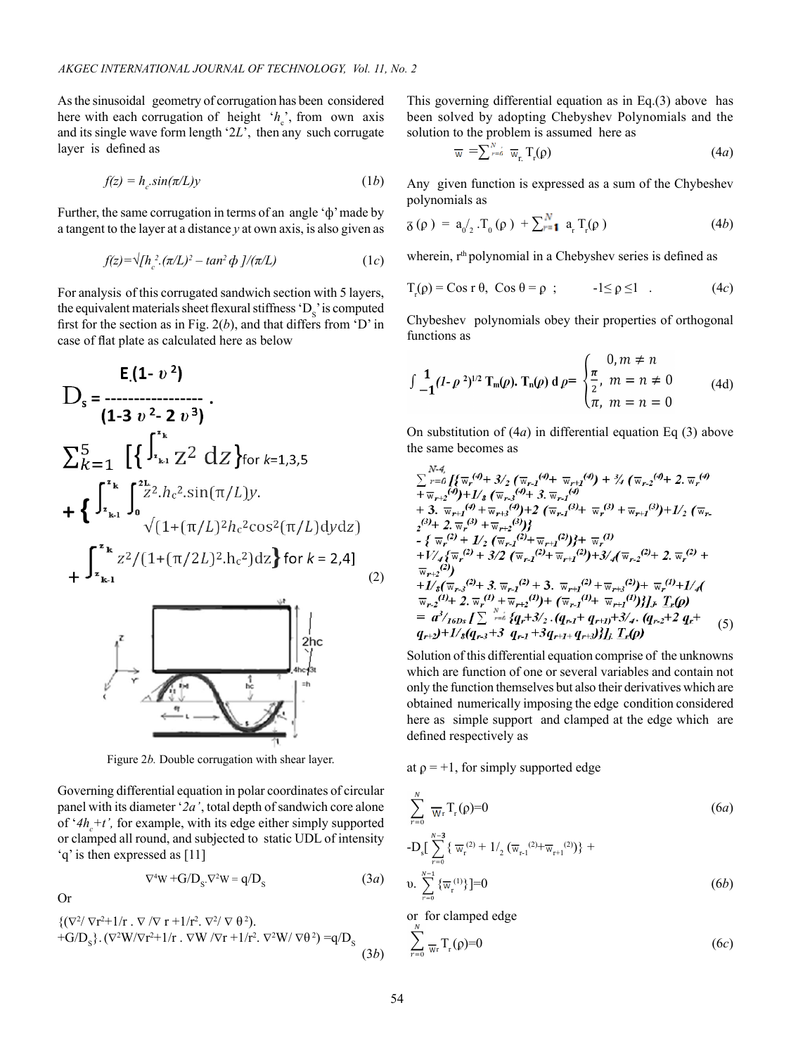As the sinusoidal geometry of corrugation has been considered here with each corrugation of height  $h_c$ , from own axis and its single wave form length '2*L*', then any such corrugate layer is defined as

$$
f(z) = h_c \sin(\pi/L)y \tag{1b}
$$

Further, the same corrugation in terms of an angle 'ф' made by a tangent to the layer at a distance *y* at own axis, is also given as

$$
f(z) = \sqrt{h_c^2 \cdot (\pi/L)^2 - \tan^2 \phi} \, J/(\pi/L) \tag{1c}
$$

For analysis of this corrugated sandwich section with 5 layers, the equivalent materials sheet flexural stiffness  $D_s$  is computed first for the section as in Fig. 2(*b*), and that differs from 'D' in case of flat plate as calculated here as below

$$
E(1 - v2)
$$
  
\n
$$
D_{s} =
$$
  
\n
$$
(1 - 3 v2 - 2 v3)
$$
  
\n
$$
\sum_{k=1}^{5} \left[ \left\{ \int_{x_{k1}}^{x_{k}} Z^{2} dz \right\} \text{for } k=1,3,5
$$
  
\n
$$
+ \left\{ \int_{x_{k1}}^{x_{k}} \int_{0}^{2L} Z^{2} h_{c}^{2} \sin(\pi/L) y.
$$
  
\n
$$
\sqrt{(1+(\pi/L)^{2}h_{c}^{2} \cos^{2}(\pi/L) dy} dz)} + \int_{x_{k1}}^{x_{k}} Z^{2} / (1+(\pi/2L)^{2} \cdot h_{c}^{2}) dz \right\} \text{ for } k=2,4]
$$
\n(2)



Figure 2*b.* Double corrugation with shear layer.

Governing differential equation in polar coordinates of circular panel with its diameter '*2a'* , total depth of sandwich core alone of ' $4h_c + t$ ', for example, with its edge either simply supported or clamped all round, and subjected to static UDL of intensity 'q' is then expressed as [11]

$$
\nabla^4 W + G/D_s \cdot \nabla^2 W = q/D_s \tag{3a}
$$

Or

$$
\begin{aligned} &\{(\nabla^2/\nabla r^2 + 1/r \cdot \nabla/\nabla r + 1/r^2 \cdot \nabla^2/\nabla \theta^2\}, \\ &+ G/D_s\} \cdot (\nabla^2 W/\nabla r^2 + 1/r \cdot \nabla W/\nabla r + 1/r^2 \cdot \nabla^2 W/\nabla \theta^2) = q/D_s \end{aligned} \tag{3b}
$$

This governing differential equation as in Eq.(3) above has been solved by adopting Chebyshev Polynomials and the solution to the problem is assumed here as

$$
\overline{\mathbf{w}} = \sum_{r=a}^{N-a} \overline{\mathbf{w}}_{r} \mathbf{T}_{r}(\rho) \tag{4a}
$$

Any given function is expressed as a sum of the Chybeshev polynomials as

$$
\mathfrak{F}(\rho) = \mathfrak{a}_{0/2} \cdot T_0(\rho) + \sum_{r=1}^{N} \mathfrak{a}_r T_r(\rho)
$$
 (4b)

wherein, r<sup>th</sup> polynomial in a Chebyshev series is defined as

$$
T_r(\rho) = \cos r \theta, \quad \cos \theta = \rho \quad ; \qquad \qquad -1 \le \rho \le 1 \quad . \tag{4c}
$$

Chybeshev polynomials obey their properties of orthogonal functions as

$$
\int \frac{1}{-1} (I - \rho^2)^{1/2} \operatorname{T}_m(\rho). \operatorname{T}_n(\rho) d\rho = \begin{cases} 0, m \neq n \\ \frac{\pi}{2}, m = n \neq 0 \\ \pi, m = n = 0 \end{cases}
$$
 (4d)

On substitution of (4*a*) in differential equation Eq (3) above the same becomes as

$$
\sum_{r=0}^{N-4} \int_{\mathcal{F}} \overline{\mathbf{w}}_{r}(\theta) + 3/2 \left( \overline{\mathbf{w}}_{r-1}(\theta) + \overline{\mathbf{w}}_{r+1}(\theta) \right) + \frac{3}{4} \left( \overline{\mathbf{w}}_{r-2}(\theta) + 2 \cdot \overline{\mathbf{w}}_{r}(\theta) + \overline{\mathbf{w}}_{r+2}(\theta) + \mathbf{1/8} \left( \overline{\mathbf{w}}_{r-3}(\theta) + 3 \cdot \overline{\mathbf{w}}_{r-1}(\theta) + \overline{\mathbf{w}}_{r-1}(\theta) + \overline{\mathbf{w}}_{r-1}(\theta) + \overline{\mathbf{w}}_{r-1}(\theta) + \overline{\mathbf{w}}_{r-1}(\theta) + \overline{\mathbf{w}}_{r-1}(\theta) + \overline{\mathbf{w}}_{r-1}(\theta) + \mathbf{1/2} \left( \overline{\mathbf{w}}_{r-1}(\theta) + \overline{\mathbf{w}}_{r-1}(\theta) + \overline{\mathbf{w}}_{r-1}(\theta) \right) + \mathbf{1/2} \left( \overline{\mathbf{w}}_{r-1}(\theta) + \overline{\mathbf{w}}_{r-1}(\theta) \right) + \frac{3}{2} \left( \overline{\mathbf{w}}_{r}(\theta) + \overline{\mathbf{w}}_{r-1}(\theta) + \overline{\mathbf{w}}_{r-1}(\theta) \right) + \frac{3}{2} \left( \overline{\mathbf{w}}_{r-1}(\theta) + \overline{\mathbf{w}}_{r-1}(\theta) + \frac{3}{2} \left( \overline{\mathbf{w}}_{r-1}(\theta) + \overline{\mathbf{w}}_{r-1}(\theta) \right) + \frac{3}{2} \left( \overline{\mathbf{w}}_{r-2}(\theta) + 2 \cdot \overline{\mathbf{w}}_{r-1}(\theta) + 3 \cdot \overline{\mathbf{w}}_{r-1}(\theta) + \overline{\mathbf{w}}_{r-1}(\theta) + \overline{\mathbf{w}}_{r-1}(\theta) + \mathbf{1/4} \left( \overline{\mathbf{w}}_{r-2}(\theta) + 2 \cdot \overline{\mathbf{w}}_{r}(\theta) + \overline{\mathbf{w}}_{r-1}(\theta)
$$

Solution of this differential equation comprise of the unknowns which are function of one or several variables and contain not only the function themselves but also their derivatives which are obtained numerically imposing the edge condition considered here as simple support and clamped at the edge which are defined respectively as

at  $\rho = +1$ , for simply supported edge

$$
\sum_{r=0}^{N} \frac{1}{W_{r}} T_{r}(\rho) = 0
$$
\n
$$
-D_{s} \left[ \sum_{r=0}^{N-3} {\{\overline{w}_{r}^{(2)} + 1/2 (\overline{w}_{r-1}^{(2)} + \overline{w}_{r+1}^{(2)})\}} + \right]
$$
\n
$$
v. \sum_{r=0}^{N-1} {\{\overline{w}_{r}^{(1)}\}} = 0
$$
\n
$$
(6b)
$$

or for clamped edge

$$
\sum_{r=0}^{\infty} \frac{1}{\mathcal{W}_r} \mathcal{T}_r(\rho) = 0 \tag{6c}
$$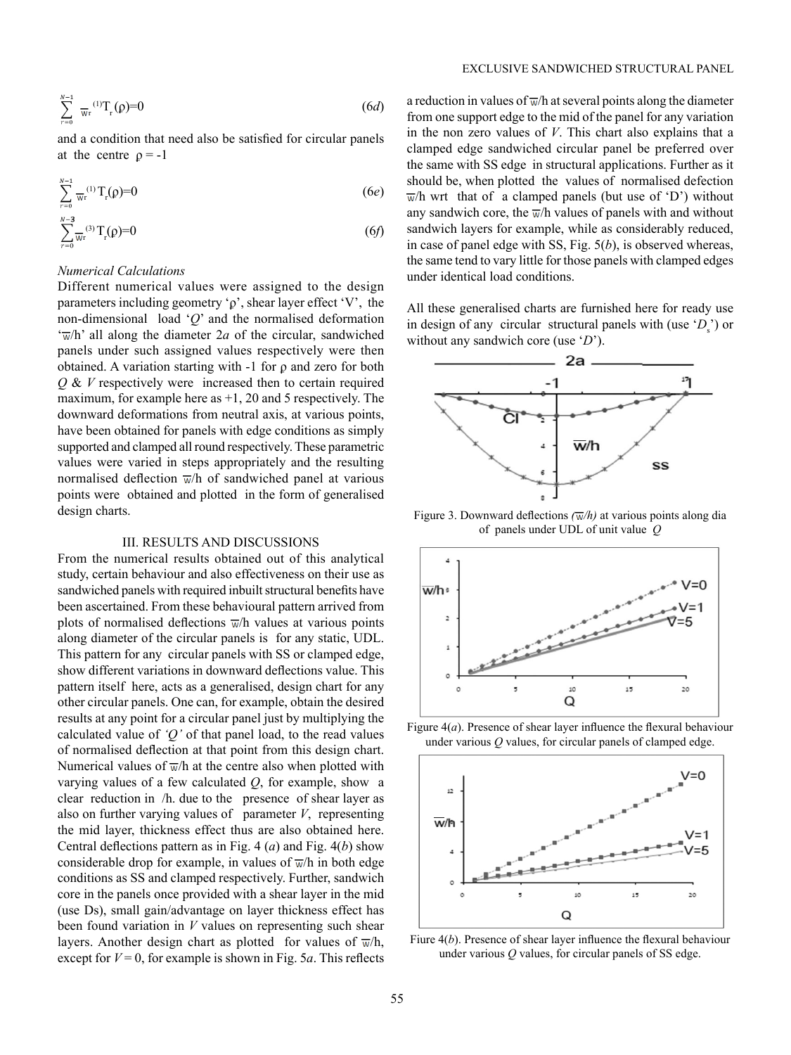$$
\sum_{r=0}^{N-1} \pi_r^{(1)} T_r(\rho) = 0 \tag{6d}
$$

and a condition that need also be satisfied for circular panels at the centre  $\rho = -1$ 

$$
\sum_{r=0}^{N-1} \frac{1}{W_r} (1) T_r(\rho) = 0 \tag{6e}
$$

$$
\sum_{r=0}^{N-3} \overline{w}_r^{(3)} T_r(\rho) = 0 \tag{6f}
$$

#### *Numerical Calculations*

Different numerical values were assigned to the design parameters including geometry 'ϼ', shear layer effect 'V', the non-dimensional load '*Q*' and the normalised deformation  $\sqrt{\pi}/h$ ' all along the diameter 2*a* of the circular, sandwiched panels under such assigned values respectively were then obtained. A variation starting with -1 for ϼ and zero for both *Q* & *V* respectively were increased then to certain required maximum, for example here as  $+1$ , 20 and 5 respectively. The downward deformations from neutral axis, at various points, have been obtained for panels with edge conditions as simply supported and clamped all round respectively. These parametric values were varied in steps appropriately and the resulting normalised deflection  $\overline{w}/h$  of sandwiched panel at various points were obtained and plotted in the form of generalised design charts.

## III. RESULTS AND DISCUSSIONS

From the numerical results obtained out of this analytical study, certain behaviour and also effectiveness on their use as sandwiched panels with required inbuilt structural benefits have been ascertained. From these behavioural pattern arrived from plots of normalised deflections  $\overline{w}/h$  values at various points along diameter of the circular panels is for any static, UDL. This pattern for any circular panels with SS or clamped edge, show different variations in downward deflections value. This pattern itself here, acts as a generalised, design chart for any other circular panels. One can, for example, obtain the desired results at any point for a circular panel just by multiplying the calculated value of *'Q'* of that panel load, to the read values of normalised deflection at that point from this design chart. Numerical values of  $\overline{w}/h$  at the centre also when plotted with varying values of a few calculated *Q*, for example, show a clear reduction in /h. due to the presence of shear layer as also on further varying values of parameter *V*, representing the mid layer, thickness effect thus are also obtained here. Central deflections pattern as in Fig. 4 (*a*) and Fig. 4(*b*) show considerable drop for example, in values of  $\overline{w}/h$  in both edge conditions as SS and clamped respectively. Further, sandwich core in the panels once provided with a shear layer in the mid (use Ds), small gain/advantage on layer thickness effect has been found variation in *V* values on representing such shear layers. Another design chart as plotted for values of  $\overline{w}/h$ , except for  $V = 0$ , for example is shown in Fig. 5*a*. This reflects a reduction in values of  $\overline{w}/h$  at several points along the diameter from one support edge to the mid of the panel for any variation in the non zero values of *V*. This chart also explains that a clamped edge sandwiched circular panel be preferred over the same with SS edge in structural applications. Further as it should be, when plotted the values of normalised defection  $\overline{w}/h$  wrt that of a clamped panels (but use of 'D') without any sandwich core, the  $\overline{w}/h$  values of panels with and without sandwich layers for example, while as considerably reduced, in case of panel edge with SS, Fig. 5(*b*), is observed whereas, the same tend to vary little for those panels with clamped edges under identical load conditions.

EXCLUSIVE SANDWICHED STRUCTURAL PANEL

All these generalised charts are furnished here for ready use in design of any circular structural panels with (use  $(D_s)$ ) or without any sandwich core (use '*D*').



Figure 3. Downward deflections  $(\overline{w}/h)$  at various points along dia of panels under UDL of unit value *Q* 



Figure 4(*a*). Presence of shear layer influence the flexural behaviour under various *Q* values, for circular panels of clamped edge.



Fiure 4(*b*). Presence of shear layer influence the flexural behaviour under various *Q* values, for circular panels of SS edge.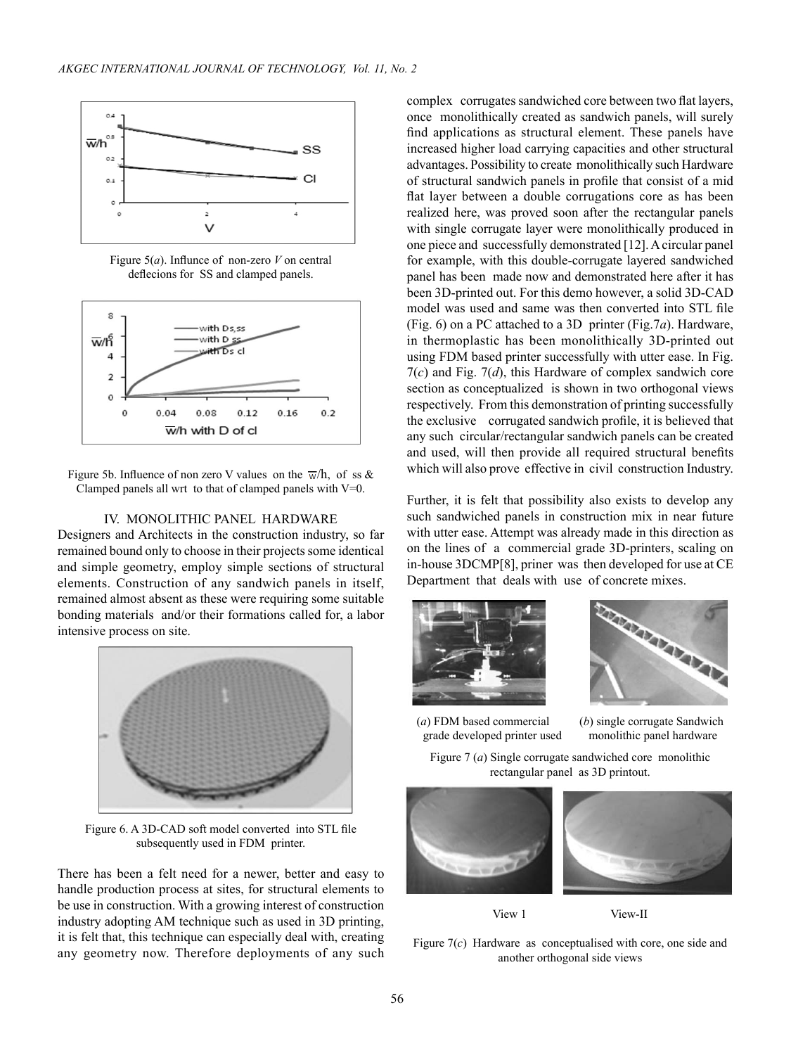

Figure 5(*a*). Influnce of non-zero *V* on central deflecions for SS and clamped panels.



Figure 5b. Influence of non zero V values on the  $\overline{w}/h$ , of ss & Clamped panels all wrt to that of clamped panels with V=0.

## IV. MONOLITHIC PANEL HARDWARE

Designers and Architects in the construction industry, so far remained bound only to choose in their projects some identical and simple geometry, employ simple sections of structural elements. Construction of any sandwich panels in itself, remained almost absent as these were requiring some suitable bonding materials and/or their formations called for, a labor intensive process on site.



Figure 6. A 3D-CAD soft model converted into STL file subsequently used in FDM printer.

There has been a felt need for a newer, better and easy to handle production process at sites, for structural elements to be use in construction. With a growing interest of construction industry adopting AM technique such as used in 3D printing, it is felt that, this technique can especially deal with, creating any geometry now. Therefore deployments of any such complex corrugates sandwiched core between two flat layers, once monolithically created as sandwich panels, will surely find applications as structural element. These panels have increased higher load carrying capacities and other structural advantages. Possibility to create monolithically such Hardware of structural sandwich panels in profile that consist of a mid flat layer between a double corrugations core as has been realized here, was proved soon after the rectangular panels with single corrugate layer were monolithically produced in one piece and successfully demonstrated [12]. A circular panel for example, with this double-corrugate layered sandwiched panel has been made now and demonstrated here after it has been 3D-printed out. For this demo however, a solid 3D-CAD model was used and same was then converted into STL file (Fig. 6) on a PC attached to a 3D printer (Fig.7*a*). Hardware, in thermoplastic has been monolithically 3D-printed out using FDM based printer successfully with utter ease. In Fig. 7(*c*) and Fig. 7(*d*), this Hardware of complex sandwich core section as conceptualized is shown in two orthogonal views respectively. From this demonstration of printing successfully the exclusive corrugated sandwich profile, it is believed that any such circular/rectangular sandwich panels can be created and used, will then provide all required structural benefits which will also prove effective in civil construction Industry.

Further, it is felt that possibility also exists to develop any such sandwiched panels in construction mix in near future with utter ease. Attempt was already made in this direction as on the lines of a commercial grade 3D-printers, scaling on in-house 3DCMP[8], priner was then developed for use at CE Department that deals with use of concrete mixes.





(*a*) FDM based commercial (*b*) single corrugate Sandwich grade developed printer used monolithic panel hardware

Figure 7 (*a*) Single corrugate sandwiched core monolithic rectangular panel as 3D printout.



View 1 View-II

Figure 7(*c*) Hardware as conceptualised with core, one side and another orthogonal side views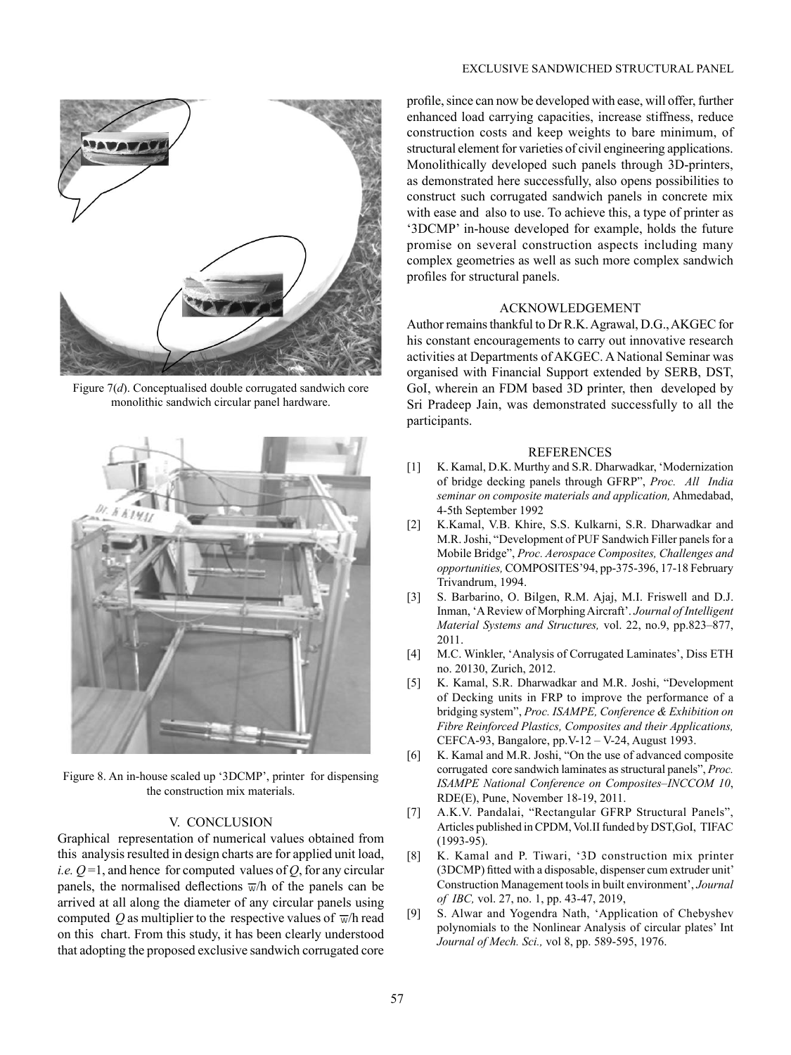## EXCLUSIVE SANDWICHED STRUCTURAL PANEL



Figure 7(*d*). Conceptualised double corrugated sandwich core monolithic sandwich circular panel hardware.



Figure 8. An in-house scaled up '3DCMP', printer for dispensing the construction mix materials.

#### V. CONCLUSION

Graphical representation of numerical values obtained from this analysis resulted in design charts are for applied unit load, *i.e.*  $Q=1$ , and hence for computed values of  $Q$ , for any circular panels, the normalised deflections  $\overline{w}/h$  of the panels can be arrived at all along the diameter of any circular panels using computed Q as multiplier to the respective values of  $\overline{w}/h$  read on this chart. From this study, it has been clearly understood that adopting the proposed exclusive sandwich corrugated core profile, since can now be developed with ease, will offer, further enhanced load carrying capacities, increase stiffness, reduce construction costs and keep weights to bare minimum, of structural element for varieties of civil engineering applications. Monolithically developed such panels through 3D-printers, as demonstrated here successfully, also opens possibilities to construct such corrugated sandwich panels in concrete mix with ease and also to use. To achieve this, a type of printer as '3DCMP' in-house developed for example, holds the future promise on several construction aspects including many complex geometries as well as such more complex sandwich profiles for structural panels.

# ACKNOWLEDGEMENT

Author remains thankful to Dr R.K. Agrawal, D.G., AKGEC for his constant encouragements to carry out innovative research activities at Departments of AKGEC. A National Seminar was organised with Financial Support extended by SERB, DST, GoI, wherein an FDM based 3D printer, then developed by Sri Pradeep Jain, was demonstrated successfully to all the participants.

#### REFERENCES

- [1] K. Kamal, D.K. Murthy and S.R. Dharwadkar, 'Modernization of bridge decking panels through GFRP", *Proc. All India seminar on composite materials and application,* Ahmedabad, 4-5th September 1992
- M.R. Joshi, "Development of PUF Sandwich Filler panels for a [2] K.Kamal, V.B. Khire, S.S. Kulkarni, S.R. Dharwadkar and Mobile Bridge", *Proc. Aerospace Composites, Challenges and opportunities,* COMPOSITES'94, pp-375-396, 17-18 February Trivandrum, 1994.
- [3] S. Barbarino, O. Bilgen, R.M. Ajaj, M.I. Friswell and D.J. Inman, 'A Review of Morphing Aircraft'. *Journal of Intelligent Material Systems and Structures,* vol. 22, no.9, pp.823–877, 2011.
- [4] M.C. Winkler, 'Analysis of Corrugated Laminates', Diss ETH no. 20130, Zurich, 2012.
- [5] K. Kamal, S.R. Dharwadkar and M.R. Joshi, "Development of Decking units in FRP to improve the performance of a bridging system", *Proc. ISAMPE, Conference & Exhibition on Fibre Reinforced Plastics, Composites and their Applications,* CEFCA-93, Bangalore, pp.V-12 – V-24, August 1993.
- [6] K. Kamal and M.R. Joshi, "On the use of advanced composite corrugated core sandwich laminates as structural panels", *Proc. ISAMPE National Conference on Composites–INCCOM 10*, RDE(E), Pune, November 18-19, 2011.
- [7] A.K.V. Pandalai, "Rectangular GFRP Structural Panels", Articles published in CPDM, Vol.II funded by DST,GoI, TIFAC (1993-95).
- [8] K. Kamal and P. Tiwari, '3D construction mix printer (3DCMP) fitted with a disposable, dispenser cum extruder unit' Construction Management tools in built environment', *Journal of IBC,* vol. 27, no. 1, pp. 43-47, 2019,
- [9] S. Alwar and Yogendra Nath, 'Application of Chebyshev polynomials to the Nonlinear Analysis of circular plates' Int *Journal of Mech. Sci.,* vol 8, pp. 589-595, 1976.